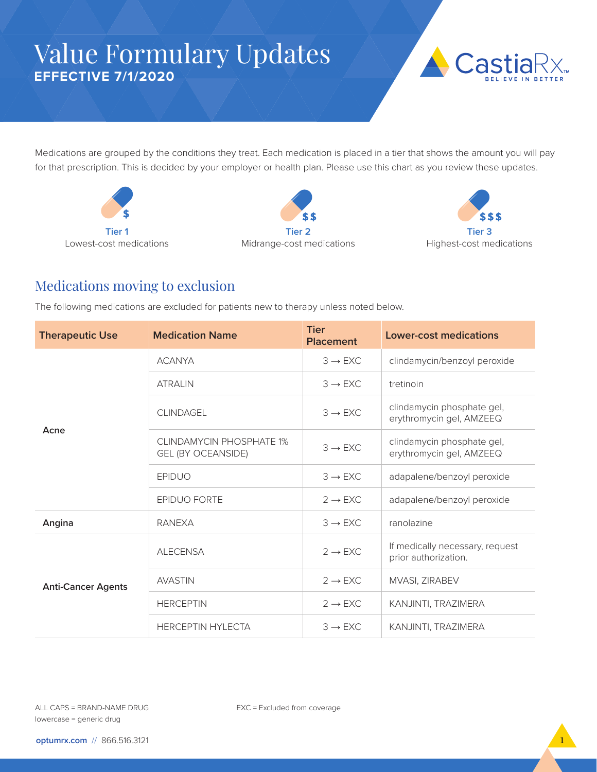## Value Formulary Updates **EFFECTIVE 7/1/2020**



Medications are grouped by the conditions they treat. Each medication is placed in a tier that shows the amount you will pay for that prescription. This is decided by your employer or health plan. Please use this chart as you review these updates.







## Medications moving to exclusion

The following medications are excluded for patients new to therapy unless noted below.

| <b>Therapeutic Use</b>    | <b>Medication Name</b>                                | <b>Tier</b><br><b>Placement</b> | <b>Lower-cost medications</b>                           |
|---------------------------|-------------------------------------------------------|---------------------------------|---------------------------------------------------------|
| Acne                      | <b>ACANYA</b>                                         | $3 \rightarrow EXC$             | clindamycin/benzoyl peroxide                            |
|                           | <b>ATRAIN</b>                                         | $3 \rightarrow EXC$             | tretinoin                                               |
|                           | <b>CLINDAGEL</b>                                      | $3 \rightarrow EXC$             | clindamycin phosphate gel,<br>erythromycin gel, AMZEEQ  |
|                           | CLINDAMYCIN PHOSPHATE 1%<br><b>GEL (BY OCEANSIDE)</b> | $3 \rightarrow EXC$             | clindamycin phosphate gel,<br>erythromycin gel, AMZEEQ  |
|                           | <b>EPIDUO</b>                                         | $3 \rightarrow EXC$             | adapalene/benzoyl peroxide                              |
|                           | <b>EPIDUO FORTE</b>                                   | $2 \rightarrow EXC$             | adapalene/benzoyl peroxide                              |
| Angina                    | <b>RANEXA</b>                                         | $3 \rightarrow EXC$             | ranolazine                                              |
| <b>Anti-Cancer Agents</b> | <b>ALECENSA</b>                                       | $2 \rightarrow EXC$             | If medically necessary, request<br>prior authorization. |
|                           | <b>AVASTIN</b>                                        | $2 \rightarrow EXC$             | MVASI, ZIRABEV                                          |
|                           | <b>HERCEPTIN</b>                                      | $2 \rightarrow EXC$             | KANJINTI, TRAZIMERA                                     |
|                           | <b>HERCEPTIN HYLECTA</b>                              | $3 \rightarrow EXC$             | KANJINTI, TRAZIMERA                                     |

EXC = Excluded from coverage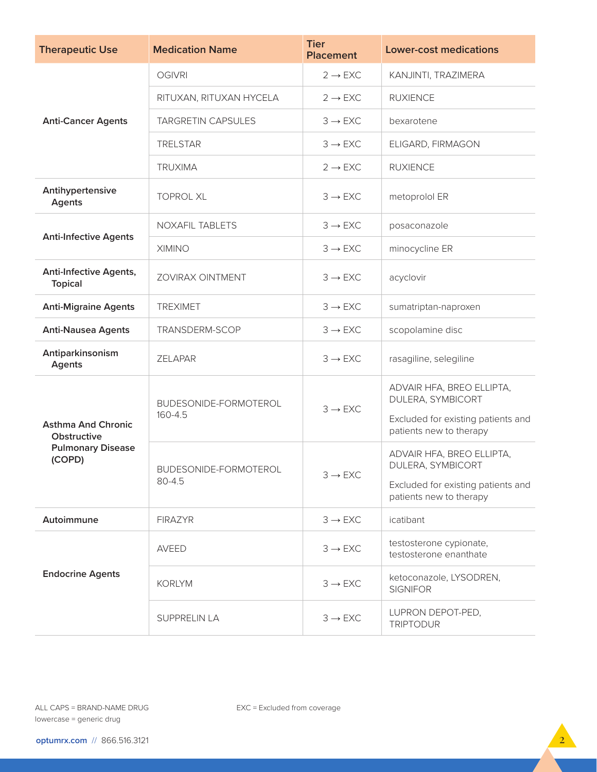| <b>Therapeutic Use</b>                          | <b>Medication Name</b>           | <b>Tier</b><br><b>Placement</b> | <b>Lower-cost medications</b>                                                        |
|-------------------------------------------------|----------------------------------|---------------------------------|--------------------------------------------------------------------------------------|
| <b>Anti-Cancer Agents</b>                       | <b>OGIVRI</b>                    | $2 \rightarrow EXC$             | KANJINTI, TRAZIMERA                                                                  |
|                                                 | RITUXAN, RITUXAN HYCELA          | $2 \rightarrow EXC$             | <b>RUXIENCE</b>                                                                      |
|                                                 | <b>TARGRETIN CAPSULES</b>        | $3 \rightarrow EXC$             | bexarotene                                                                           |
|                                                 | <b>TRELSTAR</b>                  | $3 \rightarrow EXC$             | ELIGARD, FIRMAGON                                                                    |
|                                                 | <b>TRUXIMA</b>                   | $2 \rightarrow EXC$             | <b>RUXIENCE</b>                                                                      |
| Antihypertensive<br><b>Agents</b>               | <b>TOPROL XL</b>                 | $3 \rightarrow EXC$             | metoprolol ER                                                                        |
| <b>Anti-Infective Agents</b>                    | <b>NOXAFIL TABLETS</b>           | $3 \rightarrow EXC$             | posaconazole                                                                         |
|                                                 | <b>XIMINO</b>                    | $3 \rightarrow EXC$             | minocycline ER                                                                       |
| <b>Anti-Infective Agents,</b><br><b>Topical</b> | <b>ZOVIRAX OINTMENT</b>          | $3 \rightarrow EXC$             | acyclovir                                                                            |
| <b>Anti-Migraine Agents</b>                     | <b>TREXIMET</b>                  | $3 \rightarrow EXC$             | sumatriptan-naproxen                                                                 |
| <b>Anti-Nausea Agents</b>                       | TRANSDERM-SCOP                   | $3 \rightarrow EXC$             | scopolamine disc                                                                     |
| Antiparkinsonism<br>Agents                      | <b>ZELAPAR</b>                   | $3 \rightarrow EXC$             | rasagiline, selegiline                                                               |
|                                                 | BUDESONIDE-FORMOTEROL<br>160-4.5 | $3 \rightarrow EXC$             | ADVAIR HFA, BREO ELLIPTA,<br>DULERA, SYMBICORT<br>Excluded for existing patients and |
| <b>Asthma And Chronic</b><br>Obstructive        |                                  |                                 | patients new to therapy                                                              |
| <b>Pulmonary Disease</b><br>(COPD)              | BUDESONIDE-FORMOTEROL<br>80-4.5  | $3 \rightarrow EXC$             | ADVAIR HFA, BREO ELLIPTA,<br>DULERA, SYMBICORT                                       |
|                                                 |                                  |                                 | Excluded for existing patients and<br>patients new to therapy                        |
| Autoimmune                                      | <b>FIRAZYR</b>                   | $3 \rightarrow EXC$             | icatibant                                                                            |
| <b>Endocrine Agents</b>                         | <b>AVEED</b>                     | $3 \rightarrow EXC$             | testosterone cypionate,<br>testosterone enanthate                                    |
|                                                 | <b>KORLYM</b>                    | $3 \rightarrow EXC$             | ketoconazole, LYSODREN,<br><b>SIGNIFOR</b>                                           |
|                                                 | SUPPRELIN LA                     | $3 \rightarrow EXC$             | LUPRON DEPOT-PED,<br><b>TRIPTODUR</b>                                                |

EXC = Excluded from coverage